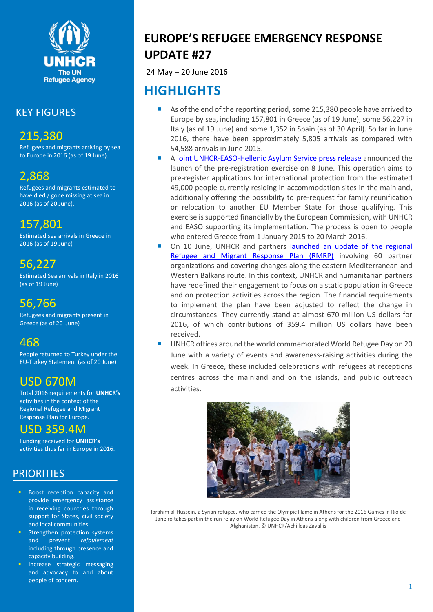

## KEY FIGURES

# 215,380

Refugees and migrants arriving by sea to Europe in 2016 (as of 19 June).

# 2,868

Refugees and migrants estimated to have died / gone missing at sea in 2016 (as of 20 June).

# 157,801

Estimated sea arrivals in Greece in 2016 (as of 19 June)

# 56,227

Estimated Sea arrivals in Italy in 2016 (as of 19 June)

# 56,766

Refugees and migrants present in Greece (as of 20 June)

# 468

People returned to Turkey under the EU-Turkey Statement (as of 20 June)

# USD 670M

Total 2016 requirements for **UNHCR's**  activities in the context of the Regional Refugee and Migrant Response Plan for Europe.

# USD 359.4M

Funding received for **UNHCR's** activities thus far in Europe in 2016.

# **PRIORITIES**

- **Boost reception capacity and** provide emergency assistance in receiving countries through support for States, civil society and local communities.
- Strengthen protection systems and prevent *refoulement* including through presence and capacity building.
- Increase strategic messaging and advocacy to and about people of concern.

# **EUROPE'S REFUGEE EMERGENCY RESPONSE UPDATE #27**

24 May – 20 June 2016

# **HIGHLIGHTS**

- As of the end of the reporting period, some 215,380 people have arrived to Europe by sea, including 157,801 in Greece (as of 19 June), some 56,227 in Italy (as of 19 June) and some 1,352 in Spain (as of 30 April). So far in June 2016, there have been approximately 5,805 arrivals as compared with 54,588 arrivals in June 2015.
- A [joint UNHCR-EASO-Hellenic Asylum Service press release](https://www.easo.europa.eu/news-events/joint-press-release-pre-registration-asylum-seekers-greek-mainland-starting-today) announced the launch of the pre-registration exercise on 8 June. This operation aims to pre-register applications for international protection from the estimated 49,000 people currently residing in accommodation sites in the mainland, additionally offering the possibility to pre-request for family reunification or relocation to another EU Member State for those qualifying. This exercise is supported financially by the European Commission, with UNHCR and EASO supporting its implementation. The process is open to people who entered Greece from 1 January 2015 to 20 March 2016.
- On 10 June, UNHCR and partners launched an update of the regional [Refugee and Migrant Response Plan](http://www.unhcr.org/news/briefing/2016/6/575a83e68/unhcr-partners-revise-funding-needs-greece-balkans.html) (RMRP) involving 60 partner organizations and covering changes along the eastern Mediterranean and Western Balkans route. In this context, UNHCR and humanitarian partners have redefined their engagement to focus on a static population in Greece and on protection activities across the region. The financial requirements to implement the plan have been adjusted to reflect the change in circumstances. They currently stand at almost 670 million US dollars for 2016, of which contributions of 359.4 million US dollars have been received.
- UNHCR offices around the world commemorated World Refugee Day on 20 June with a variety of events and awareness-raising activities during the week. In Greece, these included celebrations with refugees at receptions centres across the mainland and on the islands, and public outreach activities.



Ibrahim al-Hussein, a Syrian refugee, who carried the Olympic Flame in Athens for the 2016 Games in Rio de Janeiro takes part in the run relay on World Refugee Day in Athens along with children from Greece and Afghanistan. © UNHCR/Achilleas Zavallis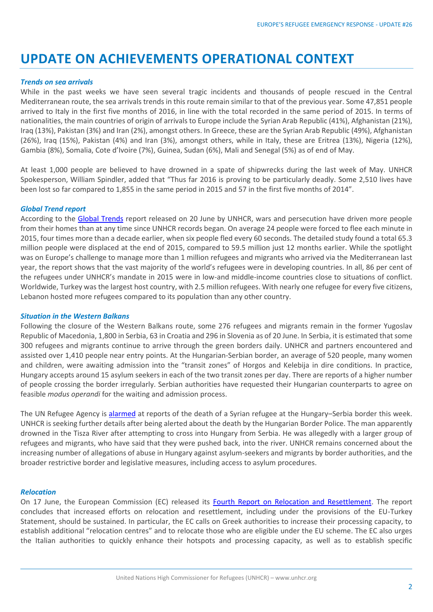# **UPDATE ON ACHIEVEMENTS OPERATIONAL CONTEXT**

### *Trends on sea arrivals*

While in the past weeks we have seen several tragic incidents and thousands of people rescued in the Central Mediterranean route, the sea arrivals trends in this route remain similar to that of the previous year. Some 47,851 people arrived to Italy in the first five months of 2016, in line with the total recorded in the same period of 2015. In terms of nationalities, the main countries of origin of arrivals to Europe include the Syrian Arab Republic (41%), Afghanistan (21%), Iraq (13%), Pakistan (3%) and Iran (2%), amongst others. In Greece, these are the Syrian Arab Republic (49%), Afghanistan (26%), Iraq (15%), Pakistan (4%) and Iran (3%), amongst others, while in Italy, these are Eritrea (13%), Nigeria (12%), Gambia (8%), Somalia, Cote d'Ivoire (7%), Guinea, Sudan (6%), Mali and Senegal (5%) as of end of May.

At least 1,000 people are believed to have drowned in a spate of shipwrecks during the last week of May. UNHCR Spokesperson, William Spindler, added that "Thus far 2016 is proving to be particularly deadly. Some 2,510 lives have been lost so far compared to 1,855 in the same period in 2015 and 57 in the first five months of 2014".

#### *Global Trend report*

According to the [Global Trends](http://www.unhcr.org/576408cd7) report released on 20 June by UNHCR, wars and persecution have driven more people from their homes than at any time since UNHCR records began. On average 24 people were forced to flee each minute in 2015, four times more than a decade earlier, when six people fled every 60 seconds. The detailed study found a total 65.3 million people were displaced at the end of 2015, compared to 59.5 million just 12 months earlier. While the spotlight was on Europe's challenge to manage more than 1 million refugees and migrants who arrived via the Mediterranean last year, the report shows that the vast majority of the world's refugees were in developing countries. In all, 86 per cent of the refugees under UNHCR's mandate in 2015 were in low-and middle-income countries close to situations of conflict. Worldwide, Turkey was the largest host country, with 2.5 million refugees. With nearly one refugee for every five citizens, Lebanon hosted more refugees compared to its population than any other country.

#### *Situation in the Western Balkans*

Following the closure of the Western Balkans route, some 276 refugees and migrants remain in the former Yugoslav Republic of Macedonia, 1,800 in Serbia, 63 in Croatia and 296 in Slovenia as of 20 June. In Serbia, it is estimated that some 300 refugees and migrants continue to arrive through the green borders daily. UNHCR and partners encountered and assisted over 1,410 people near entry points. At the Hungarian-Serbian border, an average of 520 people, many women and children, were awaiting admission into the "transit zones" of Horgos and Kelebija in dire conditions. In practice, Hungary accepts around 15 asylum seekers in each of the two transit zones per day. There are reports of a higher number of people crossing the border irregularly. Serbian authorities have requested their Hungarian counterparts to agree on feasible *modus operandi* for the waiting and admission process.

The UN Refugee Agency is [alarmed](http://www.unhcr-centraleurope.org/en/news/2016/unhcr-alarmed-at-refugee-death-on-hungary-serbia-border.html) at reports of the death of a Syrian refugee at the Hungary–Serbia border this week. UNHCR is seeking further details after being alerted about the death by the Hungarian Border Police. The man apparently drowned in the Tisza River after attempting to cross into Hungary from Serbia. He was allegedly with a larger group of refugees and migrants, who have said that they were pushed back, into the river. UNHCR remains concerned about the increasing number of allegations of abuse in Hungary against asylum-seekers and migrants by border authorities, and the broader restrictive border and legislative measures, including access to asylum procedures.

## *Relocation*

On 17 June, the European Commission (EC) released its [Fourth Report on Relocation and Resettlement.](http://ec.europa.eu/dgs/home-affairs/what-we-do/policies/european-agenda-migration/proposal-implementation-package/docs/20160615/4th_report_on_relocation_and_resettlement_en.pdf) The report concludes that increased efforts on relocation and resettlement, including under the provisions of the EU-Turkey Statement, should be sustained. In particular, the EC calls on Greek authorities to increase their processing capacity, to establish additional "relocation centres" and to relocate those who are eligible under the EU scheme. The EC also urges the Italian authorities to quickly enhance their hotspots and processing capacity, as well as to establish specific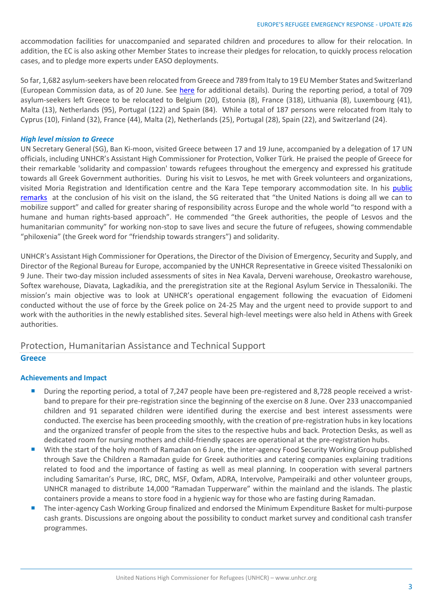accommodation facilities for unaccompanied and separated children and procedures to allow for their relocation. In addition, the EC is also asking other Member States to increase their pledges for relocation, to quickly process relocation cases, and to pledge more experts under EASO deployments.

So far, 1,682 asylum-seekers have been relocated from Greece and 789 from Italy to 19 EU Member States and Switzerland (European Commission data, as of 20 June. See [here](http://ec.europa.eu/dgs/home-affairs/what-we-do/policies/european-agenda-migration/press-material/docs/state_of_play_-_relocation_en.pdf) for additional details). During the reporting period, a total of 709 asylum-seekers left Greece to be relocated to Belgium (20), Estonia (8), France (318), Lithuania (8), Luxembourg (41), Malta (13), Netherlands (95), Portugal (122) and Spain (84). While a total of 187 persons were relocated from Italy to Cyprus (10), Finland (32), France (44), Malta (2), Netherlands (25), Portugal (28), Spain (22), and Switzerland (24).

## *High level mission to Greece*

UN Secretary General (SG), Ban Ki-moon, visited Greece between 17 and 19 June, accompanied by a delegation of 17 UN officials, including UNHCR's Assistant High Commissioner for Protection, Volker Türk. He praised the people of Greece for their remarkable 'solidarity and compassion' towards refugees throughout the emergency and expressed his gratitude towards all Greek Government authorities. During his visit to Lesvos, he met with Greek volunteers and organizations, visited Moria Registration and Identification centre and the Kara Tepe temporary accommodation site. In his [public](http://www.un.org/sg/offthecuff/index.asp?nid=4583)  [remarks](http://www.un.org/sg/offthecuff/index.asp?nid=4583) at the conclusion of his visit on the island, the SG reiterated that "the United Nations is doing all we can to mobilize support" and called for greater sharing of responsibility across Europe and the whole world "to respond with a humane and human rights-based approach". He commended "the Greek authorities, the people of Lesvos and the humanitarian community" for working non-stop to save lives and secure the future of refugees, showing commendable "philoxenia" (the Greek word for "friendship towards strangers") and solidarity.

UNHCR's Assistant High Commissioner for Operations, the Director of the Division of Emergency, Security and Supply, and Director of the Regional Bureau for Europe, accompanied by the UNHCR Representative in Greece visited Thessaloniki on 9 June. Their two-day mission included assessments of sites in Nea Kavala, Derveni warehouse, Oreokastro warehouse, Softex warehouse, Diavata, Lagkadikia, and the preregistration site at the Regional Asylum Service in Thessaloniki. The mission's main objective was to look at UNHCR's operational engagement following the evacuation of Eidomeni conducted without the use of force by the Greek police on 24-25 May and the urgent need to provide support to and work with the authorities in the newly established sites. Several high-level meetings were also held in Athens with Greek authorities.

# Protection, Humanitarian Assistance and Technical Support

## **Greece**

## **Achievements and Impact**

- During the reporting period, a total of 7,247 people have been pre-registered and 8,728 people received a wristband to prepare for their pre-registration since the beginning of the exercise on 8 June. Over 233 unaccompanied children and 91 separated children were identified during the exercise and best interest assessments were conducted. The exercise has been proceeding smoothly, with the creation of pre-registration hubs in key locations and the organized transfer of people from the sites to the respective hubs and back. Protection Desks, as well as dedicated room for nursing mothers and child-friendly spaces are operational at the pre-registration hubs.
- With the start of the holy month of Ramadan on 6 June, the inter-agency Food Security Working Group published through Save the Children a Ramadan guide for Greek authorities and catering companies explaining traditions related to food and the importance of fasting as well as meal planning. In cooperation with several partners including Samaritan's Purse, IRC, DRC, MSF, Oxfam, ADRA, Intervolve, Pampeiraiki and other volunteer groups, UNHCR managed to distribute 14,000 "Ramadan Tupperware" within the mainland and the islands. The plastic containers provide a means to store food in a hygienic way for those who are fasting during Ramadan.
- The inter-agency Cash Working Group finalized and endorsed the Minimum Expenditure Basket for multi-purpose cash grants. Discussions are ongoing about the possibility to conduct market survey and conditional cash transfer programmes.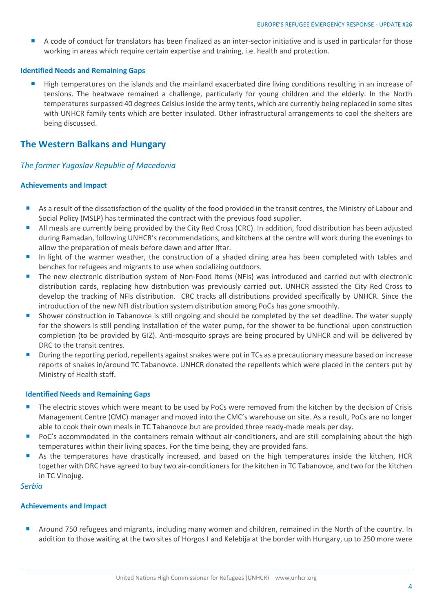A code of conduct for translators has been finalized as an inter-sector initiative and is used in particular for those working in areas which require certain expertise and training, i.e. health and protection.

## **Identified Needs and Remaining Gaps**

 High temperatures on the islands and the mainland exacerbated dire living conditions resulting in an increase of tensions. The heatwave remained a challenge, particularly for young children and the elderly. In the North temperatures surpassed 40 degrees Celsius inside the army tents, which are currently being replaced in some sites with UNHCR family tents which are better insulated. Other infrastructural arrangements to cool the shelters are being discussed.

## **The Western Balkans and Hungary**

## *The former Yugoslav Republic of Macedonia*

### **Achievements and Impact**

- As a result of the dissatisfaction of the quality of the food provided in the transit centres, the Ministry of Labour and Social Policy (MSLP) has terminated the contract with the previous food supplier.
- All meals are currently being provided by the City Red Cross (CRC). In addition, food distribution has been adjusted during Ramadan, following UNHCR's recommendations, and kitchens at the centre will work during the evenings to allow the preparation of meals before dawn and after Iftar.
- In light of the warmer weather, the construction of a shaded dining area has been completed with tables and benches for refugees and migrants to use when socializing outdoors.
- The new electronic distribution system of Non-Food Items (NFIs) was introduced and carried out with electronic distribution cards, replacing how distribution was previously carried out. UNHCR assisted the City Red Cross to develop the tracking of NFIs distribution. CRC tracks all distributions provided specifically by UNHCR. Since the introduction of the new NFI distribution system distribution among PoCs has gone smoothly.
- Shower construction in Tabanovce is still ongoing and should be completed by the set deadline. The water supply for the showers is still pending installation of the water pump, for the shower to be functional upon construction completion (to be provided by GIZ). Anti-mosquito sprays are being procured by UNHCR and will be delivered by DRC to the transit centres.
- **During the reporting period, repellents against snakes were put in TCs as a precautionary measure based on increase** reports of snakes in/around TC Tabanovce. UNHCR donated the repellents which were placed in the centers put by Ministry of Health staff.

## **Identified Needs and Remaining Gaps**

- The electric stoves which were meant to be used by PoCs were removed from the kitchen by the decision of Crisis Management Centre (CMC) manager and moved into the CMC's warehouse on site. As a result, PoCs are no longer able to cook their own meals in TC Tabanovce but are provided three ready-made meals per day.
- PoC's accommodated in the containers remain without air-conditioners, and are still complaining about the high temperatures within their living spaces. For the time being, they are provided fans.
- As the temperatures have drastically increased, and based on the high temperatures inside the kitchen, HCR together with DRC have agreed to buy two air-conditioners for the kitchen in TC Tabanovce, and two for the kitchen in TC Vinojug.

### *Serbia*

## **Achievements and Impact**

**Around 750 refugees and migrants, including many women and children, remained in the North of the country. In** addition to those waiting at the two sites of Horgos I and Kelebija at the border with Hungary, up to 250 more were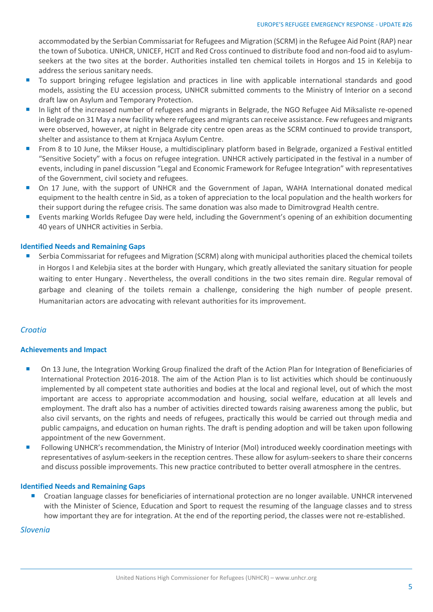accommodated by the Serbian Commissariat for Refugees and Migration (SCRM) in the Refugee Aid Point (RAP) near the town of Subotica. UNHCR, UNICEF, HCIT and Red Cross continued to distribute food and non-food aid to asylumseekers at the two sites at the border. Authorities installed ten chemical toilets in Horgos and 15 in Kelebija to address the serious sanitary needs.

- To support bringing refugee legislation and practices in line with applicable international standards and good models, assisting the EU accession process, UNHCR submitted comments to the Ministry of Interior on a second draft law on Asylum and Temporary Protection.
- In light of the increased number of refugees and migrants in Belgrade, the NGO Refugee Aid Miksaliste re-opened in Belgrade on 31 May a new facility where refugees and migrants can receive assistance. Few refugees and migrants were observed, however, at night in Belgrade city centre open areas as the SCRM continued to provide transport, shelter and assistance to them at Krnjaca Asylum Centre.
- **From 8 to 10 June, the Mikser House, a multidisciplinary platform based in Belgrade, organized a Festival entitled** "Sensitive Society" with a focus on refugee integration. UNHCR actively participated in the festival in a number of events, including in panel discussion "Legal and Economic Framework for Refugee Integration" with representatives of the Government, civil society and refugees.
- On 17 June, with the support of UNHCR and the Government of Japan, WAHA International donated medical equipment to the health centre in Sid, as a token of appreciation to the local population and the health workers for their support during the refugee crisis. The same donation was also made to Dimitrovgrad Health centre.
- Events marking Worlds Refugee Day were held, including the Government's opening of an exhibition documenting 40 years of UNHCR activities in Serbia.

## **Identified Needs and Remaining Gaps**

**Serbia Commissariat for refugees and Migration (SCRM) along with municipal authorities placed the chemical toilets** in Horgos I and Kelebjia sites at the border with Hungary, which greatly alleviated the sanitary situation for people waiting to enter Hungary . Nevertheless, the overall conditions in the two sites remain dire. Regular removal of garbage and cleaning of the toilets remain a challenge, considering the high number of people present. Humanitarian actors are advocating with relevant authorities for its improvement.

## *Croatia*

## **Achievements and Impact**

- On 13 June, the Integration Working Group finalized the draft of the Action Plan for Integration of Beneficiaries of International Protection 2016-2018. The aim of the Action Plan is to list activities which should be continuously implemented by all competent state authorities and bodies at the local and regional level, out of which the most important are access to appropriate accommodation and housing, social welfare, education at all levels and employment. The draft also has a number of activities directed towards raising awareness among the public, but also civil servants, on the rights and needs of refugees, practically this would be carried out through media and public campaigns, and education on human rights. The draft is pending adoption and will be taken upon following appointment of the new Government.
- Following UNHCR's recommendation, the Ministry of Interior (MoI) introduced weekly coordination meetings with representatives of asylum-seekers in the reception centres. These allow for asylum-seekers to share their concerns and discuss possible improvements. This new practice contributed to better overall atmosphere in the centres.

## **Identified Needs and Remaining Gaps**

 Croatian language classes for beneficiaries of international protection are no longer available. UNHCR intervened with the Minister of Science, Education and Sport to request the resuming of the language classes and to stress how important they are for integration. At the end of the reporting period, the classes were not re-established.

## *Slovenia*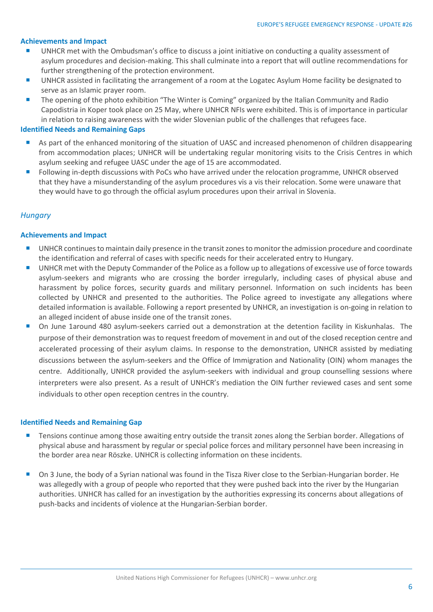### **Achievements and Impact**

- UNHCR met with the Ombudsman's office to discuss a joint initiative on conducting a quality assessment of asylum procedures and decision-making. This shall culminate into a report that will outline recommendations for further strengthening of the protection environment.
- UNHCR assisted in facilitating the arrangement of a room at the Logatec Asylum Home facility be designated to serve as an Islamic prayer room.
- **The opening of the photo exhibition "The Winter is Coming" organized by the Italian Community and Radio** Capodistria in Koper took place on 25 May, where UNHCR NFIs were exhibited. This is of importance in particular in relation to raising awareness with the wider Slovenian public of the challenges that refugees face.

### **Identified Needs and Remaining Gaps**

- As part of the enhanced monitoring of the situation of UASC and increased phenomenon of children disappearing from accommodation places; UNHCR will be undertaking regular monitoring visits to the Crisis Centres in which asylum seeking and refugee UASC under the age of 15 are accommodated.
- **F** Following in-depth discussions with PoCs who have arrived under the relocation programme, UNHCR observed that they have a misunderstanding of the asylum procedures vis a vis their relocation. Some were unaware that they would have to go through the official asylum procedures upon their arrival in Slovenia.

## *Hungary*

## **Achievements and Impact**

- UNHCR continues to maintain daily presence in the transit zones to monitor the admission procedure and coordinate the identification and referral of cases with specific needs for their accelerated entry to Hungary.
- UNHCR met with the Deputy Commander of the Police as a follow up to allegations of excessive use of force towards asylum-seekers and migrants who are crossing the border irregularly, including cases of physical abuse and harassment by police forces, security guards and military personnel. Information on such incidents has been collected by UNHCR and presented to the authorities. The Police agreed to investigate any allegations where detailed information is available. Following a report presented by UNHCR, an investigation is on-going in relation to an alleged incident of abuse inside one of the transit zones.
- On June 1around 480 asylum-seekers carried out a demonstration at the detention facility in Kiskunhalas. The purpose of their demonstration was to request freedom of movement in and out of the closed reception centre and accelerated processing of their asylum claims. In response to the demonstration, UNHCR assisted by mediating discussions between the asylum-seekers and the Office of Immigration and Nationality (OIN) whom manages the centre. Additionally, UNHCR provided the asylum-seekers with individual and group counselling sessions where interpreters were also present. As a result of UNHCR's mediation the OIN further reviewed cases and sent some individuals to other open reception centres in the country.

#### **Identified Needs and Remaining Gap**

- **Tensions continue among those awaiting entry outside the transit zones along the Serbian border. Allegations of** physical abuse and harassment by regular or special police forces and military personnel have been increasing in the border area near Röszke. UNHCR is collecting information on these incidents.
- On 3 June, the body of a Syrian national was found in the Tisza River close to the Serbian-Hungarian border. He was allegedly with a group of people who reported that they were pushed back into the river by the Hungarian authorities. UNHCR has called for an investigation by the authorities expressing its concerns about allegations of push-backs and incidents of violence at the Hungarian-Serbian border.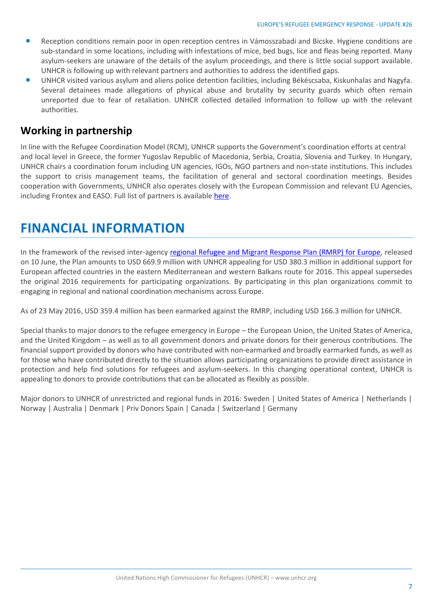- **Reception conditions remain poor in open reception centres in Vámosszabadi and Bicske. Hygiene conditions are** sub-standard in some locations, including with infestations of mice, bed bugs, lice and fleas being reported. Many asylum-seekers are unaware of the details of the asylum proceedings, and there is little social support available. UNHCR is following up with relevant partners and authorities to address the identified gaps.
- UNHCR visited various asylum and aliens police detention facilities, including Békéscsaba, Kiskunhalas and Nagyfa. Several detainees made allegations of physical abuse and brutality by security guards which often remain unreported due to fear of retaliation. UNHCR collected detailed information to follow up with the relevant authorities.

## **Working in partnership**

In line with the Refugee Coordination Model (RCM), UNHCR supports the Government's coordination efforts at central and local level in Greece, the former Yugoslav Republic of Macedonia, Serbia, Croatia, Slovenia and Turkey. In Hungary, UNHCR chairs a coordination forum including UN agencies, IGOs, NGO partners and non-state institutions. This includes the support to crisis management teams, the facilitation of general and sectoral coordination meetings. Besides cooperation with Governments, UNHCR also operates closely with the European Commission and relevant EU Agencies, including Frontex and EASO. Full list of partners is available [here.](http://data.unhcr.org/mediterranean/partnerlist.php)

# **FINANCIAL INFORMATION**

In the framework of the revised inter-agenc[y regional Refugee and Migrant Response Plan \(RMRP\) for Europe,](http://reporting.unhcr.org/sites/default/files/regionalupdates/RRMRP%20Europe%20Jan.-Dec%202016%20-%20Revision%20May%202016.pdf) released on 10 June, the Plan amounts to USD 669.9 million with UNHCR appealing for USD 380.3 million in additional support for European affected countries in the eastern Mediterranean and western Balkans route for 2016. This appeal supersedes the original 2016 requirements for participating organizations. By participating in this plan organizations commit to engaging in regional and national coordination mechanisms across Europe.

As of 23 May 2016, USD 359.4 million has been earmarked against the RMRP, including USD 166.3 million for UNHCR.

Special thanks to major donors to the refugee emergency in Europe – the European Union, the United States of America, and the United Kingdom – as well as to all government donors and private donors for their generous contributions. The financial support provided by donors who have contributed with non-earmarked and broadly earmarked funds, as well as for those who have contributed directly to the situation allows participating organizations to provide direct assistance in protection and help find solutions for refugees and asylum-seekers. In this changing operational context, UNHCR is appealing to donors to provide contributions that can be allocated as flexibly as possible.

Major donors to UNHCR of unrestricted and regional funds in 2016: Sweden | United States of America | Netherlands | Norway | Australia | Denmark | Priv Donors Spain | Canada | Switzerland | Germany